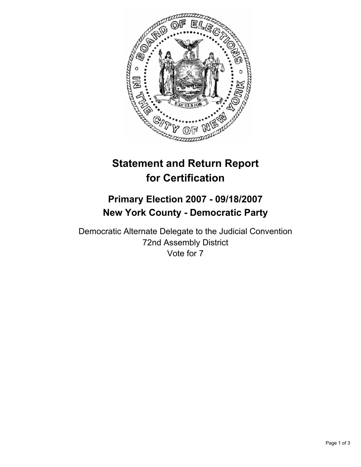

# **Statement and Return Report for Certification**

## **Primary Election 2007 - 09/18/2007 New York County - Democratic Party**

Democratic Alternate Delegate to the Judicial Convention 72nd Assembly District Vote for 7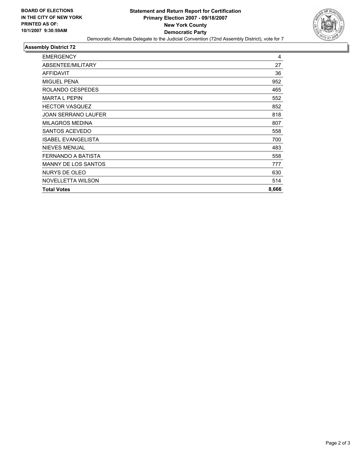

## **Assembly District 72**

| <b>EMERGENCY</b>           | 4     |
|----------------------------|-------|
| ABSENTEE/MILITARY          | 27    |
| <b>AFFIDAVIT</b>           | 36    |
| <b>MIGUEL PENA</b>         | 952   |
| ROLANDO CESPEDES           | 465   |
| <b>MARTA L PEPIN</b>       | 552   |
| <b>HECTOR VASQUEZ</b>      | 852   |
| <b>JOAN SERRANO LAUFER</b> | 818   |
| <b>MILAGROS MEDINA</b>     | 807   |
| <b>SANTOS ACEVEDO</b>      | 558   |
| <b>ISABEL EVANGELISTA</b>  | 700   |
| <b>NIEVES MENUAL</b>       | 483   |
| FERNANDO A BATISTA         | 558   |
| <b>MANNY DE LOS SANTOS</b> | 777   |
| NURYS DE OLEO              | 630   |
| NOVELLETTA WILSON          | 514   |
| <b>Total Votes</b>         | 8,666 |